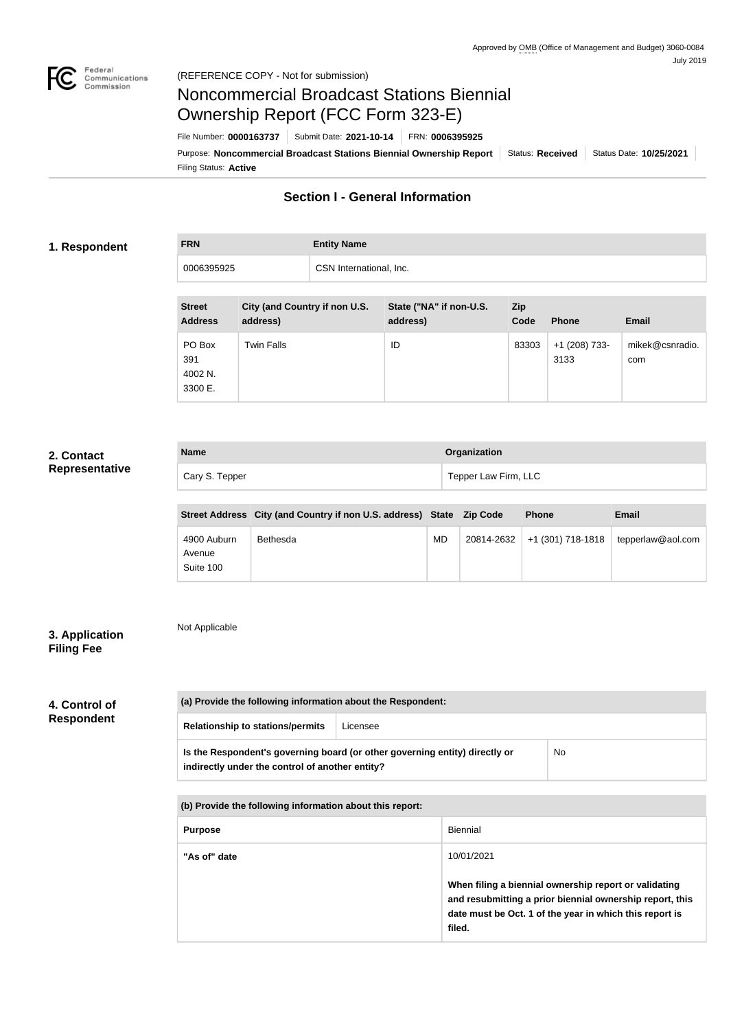

# Noncommercial Broadcast Stations Biennial Ownership Report (FCC Form 323-E)

Filing Status: **Active** Purpose: Noncommercial Broadcast Stations Biennial Ownership Report Status: Received Status Date: 10/25/2021 File Number: **0000163737** Submit Date: **2021-10-14** FRN: **0006395925**

# **Section I - General Information**

## **1. Respondent**

# **FRN Entity Name** 0006395925 CSN International, Inc.

| <b>Street</b><br><b>Address</b>     | City (and Country if non U.S.<br>address) | State ("NA" if non-U.S.<br>address) | <b>Zip</b><br>Code | <b>Phone</b>            | <b>Email</b>           |
|-------------------------------------|-------------------------------------------|-------------------------------------|--------------------|-------------------------|------------------------|
| PO Box<br>391<br>4002 N.<br>3300 E. | Twin Falls                                | ID                                  | 83303              | $+1$ (208) 733-<br>3133 | mikek@csnradio.<br>com |

## **2. Contact Representative**

| <b>Name</b>    | <b>Organization</b>  |
|----------------|----------------------|
| Cary S. Tepper | Tepper Law Firm, LLC |

|                                    | Street Address City (and Country if non U.S. address) State Zip Code |    |            | <b>Phone</b>      | <b>Email</b>      |
|------------------------------------|----------------------------------------------------------------------|----|------------|-------------------|-------------------|
| 4900 Auburn<br>Avenue<br>Suite 100 | Bethesda                                                             | MD | 20814-2632 | +1 (301) 718-1818 | tepperlaw@aol.com |

# **3. Application Filing Fee**

Not Applicable

# **4. Control of Respondent**

| (a) Provide the following information about the Respondent:                                                                    |          |    |
|--------------------------------------------------------------------------------------------------------------------------------|----------|----|
| <b>Relationship to stations/permits</b>                                                                                        | Licensee |    |
| Is the Respondent's governing board (or other governing entity) directly or<br>indirectly under the control of another entity? |          | No |

**(b) Provide the following information about this report:**

| <b>Purpose</b> | Biennial                                                                                                                                                                               |
|----------------|----------------------------------------------------------------------------------------------------------------------------------------------------------------------------------------|
| "As of" date   | 10/01/2021                                                                                                                                                                             |
|                | When filing a biennial ownership report or validating<br>and resubmitting a prior biennial ownership report, this<br>date must be Oct. 1 of the year in which this report is<br>filed. |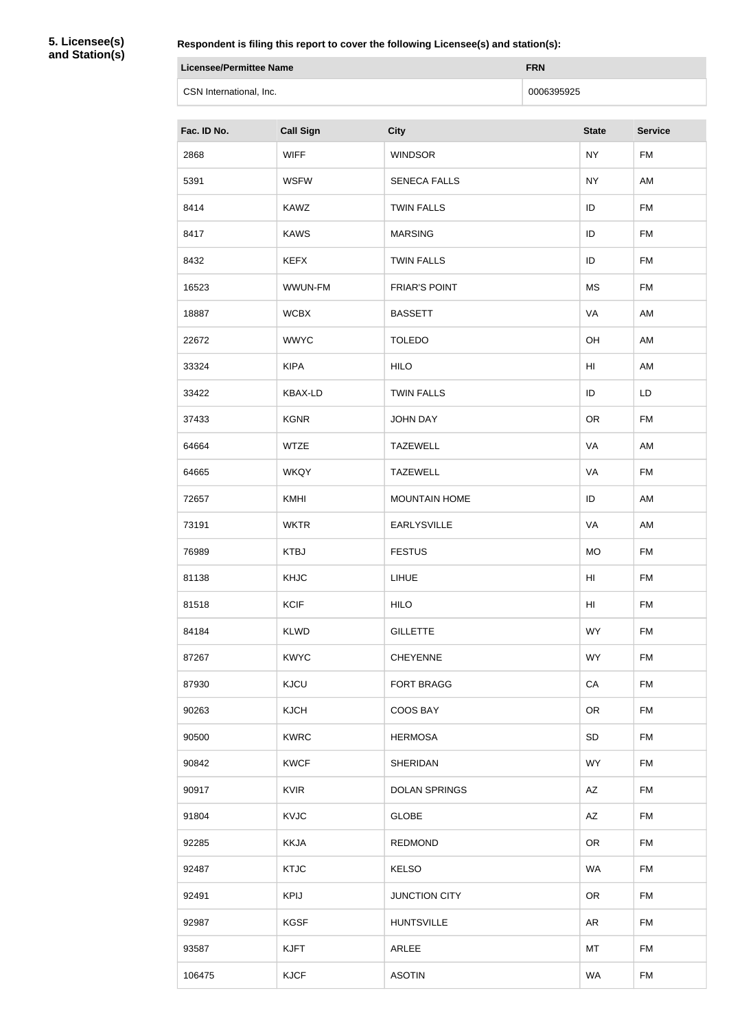**5. Licensee(s) and Station(s)**

**Respondent is filing this report to cover the following Licensee(s) and station(s):**

| Licensee/Permittee Name | <b>FRN</b> |
|-------------------------|------------|
| CSN International, Inc. | 0006395925 |

| Fac. ID No. | <b>Call Sign</b> | <b>City</b>          | <b>State</b> | <b>Service</b> |
|-------------|------------------|----------------------|--------------|----------------|
| 2868        | <b>WIFF</b>      | <b>WINDSOR</b>       | <b>NY</b>    | <b>FM</b>      |
| 5391        | <b>WSFW</b>      | <b>SENECA FALLS</b>  | <b>NY</b>    | AM             |
| 8414        | <b>KAWZ</b>      | <b>TWIN FALLS</b>    | ID           | <b>FM</b>      |
| 8417        | <b>KAWS</b>      | <b>MARSING</b>       | ID           | <b>FM</b>      |
| 8432        | <b>KEFX</b>      | <b>TWIN FALLS</b>    | ID           | <b>FM</b>      |
| 16523       | WWUN-FM          | <b>FRIAR'S POINT</b> | <b>MS</b>    | <b>FM</b>      |
| 18887       | <b>WCBX</b>      | <b>BASSETT</b>       | VA           | AM             |
| 22672       | <b>WWYC</b>      | <b>TOLEDO</b>        | OH           | AM             |
| 33324       | <b>KIPA</b>      | <b>HILO</b>          | HI           | AM             |
| 33422       | <b>KBAX-LD</b>   | <b>TWIN FALLS</b>    | ID           | LD             |
| 37433       | <b>KGNR</b>      | <b>JOHN DAY</b>      | <b>OR</b>    | <b>FM</b>      |
| 64664       | <b>WTZE</b>      | <b>TAZEWELL</b>      | VA           | AM             |
| 64665       | <b>WKQY</b>      | <b>TAZEWELL</b>      | VA           | <b>FM</b>      |
| 72657       | KMHI             | <b>MOUNTAIN HOME</b> | ID           | AM             |
| 73191       | <b>WKTR</b>      | <b>EARLYSVILLE</b>   | VA           | AM             |
| 76989       | <b>KTBJ</b>      | <b>FESTUS</b>        | <b>MO</b>    | <b>FM</b>      |
| 81138       | <b>KHJC</b>      | <b>LIHUE</b>         | HI           | <b>FM</b>      |
| 81518       | <b>KCIF</b>      | <b>HILO</b>          | HI           | <b>FM</b>      |
| 84184       | <b>KLWD</b>      | <b>GILLETTE</b>      | <b>WY</b>    | <b>FM</b>      |
| 87267       | <b>KWYC</b>      | <b>CHEYENNE</b>      | <b>WY</b>    | <b>FM</b>      |
| 87930       | <b>KJCU</b>      | <b>FORT BRAGG</b>    | CA           | <b>FM</b>      |
| 90263       | <b>KJCH</b>      | COOS BAY             | <b>OR</b>    | <b>FM</b>      |
| 90500       | <b>KWRC</b>      | <b>HERMOSA</b>       | <b>SD</b>    | <b>FM</b>      |
| 90842       | <b>KWCF</b>      | <b>SHERIDAN</b>      | <b>WY</b>    | <b>FM</b>      |
| 90917       | <b>KVIR</b>      | <b>DOLAN SPRINGS</b> | AZ           | FM             |
| 91804       | <b>KVJC</b>      | <b>GLOBE</b>         | AZ           | <b>FM</b>      |
| 92285       | <b>KKJA</b>      | <b>REDMOND</b>       | <b>OR</b>    | <b>FM</b>      |
| 92487       | <b>KTJC</b>      | <b>KELSO</b>         | <b>WA</b>    | <b>FM</b>      |
| 92491       | <b>KPIJ</b>      | <b>JUNCTION CITY</b> | <b>OR</b>    | <b>FM</b>      |
| 92987       | <b>KGSF</b>      | <b>HUNTSVILLE</b>    | <b>AR</b>    | <b>FM</b>      |
| 93587       | <b>KJFT</b>      | ARLEE                | MT           | <b>FM</b>      |
| 106475      | <b>KJCF</b>      | <b>ASOTIN</b>        | <b>WA</b>    | <b>FM</b>      |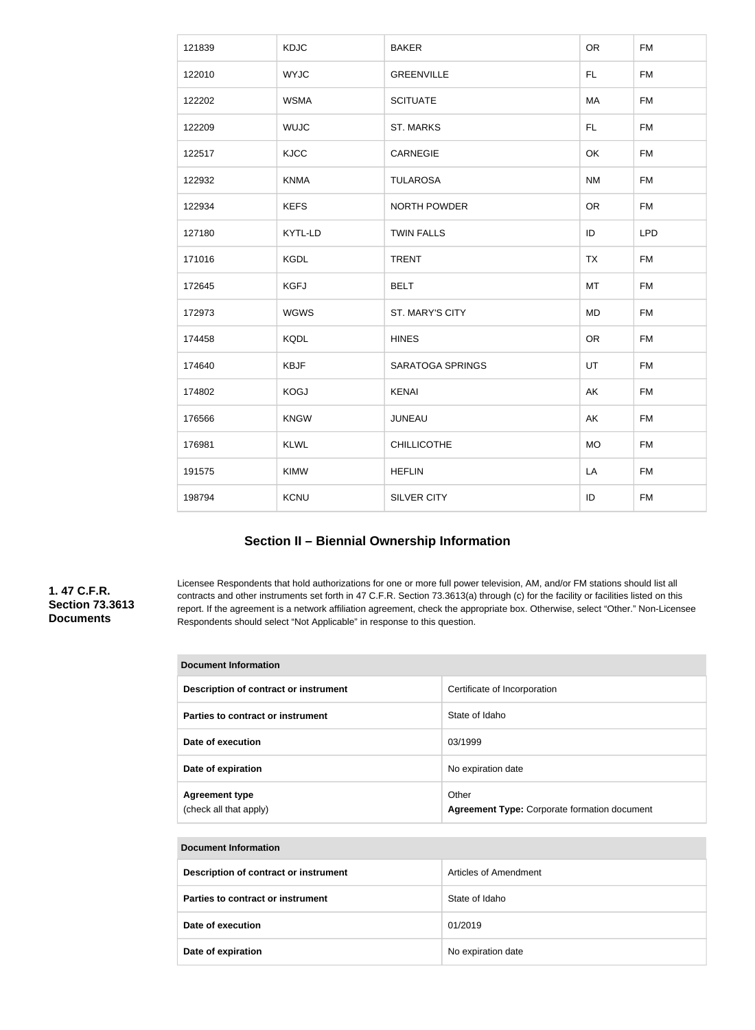| 121839 | <b>KDJC</b> | <b>BAKER</b>            | <b>OR</b> | <b>FM</b>  |
|--------|-------------|-------------------------|-----------|------------|
| 122010 | <b>WYJC</b> | <b>GREENVILLE</b>       | FL.       | <b>FM</b>  |
| 122202 | <b>WSMA</b> | <b>SCITUATE</b>         | MA        | <b>FM</b>  |
| 122209 | <b>WUJC</b> | <b>ST. MARKS</b>        | FL.       | <b>FM</b>  |
| 122517 | <b>KJCC</b> | CARNEGIE                | OK        | <b>FM</b>  |
| 122932 | <b>KNMA</b> | <b>TULAROSA</b>         | <b>NM</b> | <b>FM</b>  |
| 122934 | <b>KEFS</b> | NORTH POWDER            | <b>OR</b> | <b>FM</b>  |
| 127180 | KYTL-LD     | <b>TWIN FALLS</b>       | ID        | <b>LPD</b> |
| 171016 | <b>KGDL</b> | <b>TRENT</b>            | <b>TX</b> | <b>FM</b>  |
| 172645 | <b>KGFJ</b> | <b>BELT</b>             | MT        | <b>FM</b>  |
| 172973 | <b>WGWS</b> | ST. MARY'S CITY         | <b>MD</b> | <b>FM</b>  |
| 174458 | <b>KQDL</b> | <b>HINES</b>            | <b>OR</b> | <b>FM</b>  |
| 174640 | <b>KBJF</b> | <b>SARATOGA SPRINGS</b> | <b>UT</b> | <b>FM</b>  |
| 174802 | <b>KOGJ</b> | <b>KENAI</b>            | AK        | <b>FM</b>  |
| 176566 | <b>KNGW</b> | <b>JUNEAU</b>           | AK        | <b>FM</b>  |
| 176981 | <b>KLWL</b> | <b>CHILLICOTHE</b>      | <b>MO</b> | <b>FM</b>  |
| 191575 | KIMW        | <b>HEFLIN</b>           | LA        | <b>FM</b>  |
| 198794 | KCNU        | SILVER CITY             | ID        | <b>FM</b>  |
|        |             |                         |           |            |

# **Section II – Biennial Ownership Information**

### **1. 47 C.F.R. Section 73.3613 Documents**

Licensee Respondents that hold authorizations for one or more full power television, AM, and/or FM stations should list all contracts and other instruments set forth in 47 C.F.R. Section 73.3613(a) through (c) for the facility or facilities listed on this report. If the agreement is a network affiliation agreement, check the appropriate box. Otherwise, select "Other." Non-Licensee Respondents should select "Not Applicable" in response to this question.

| <b>Document Information</b>                     |                                                              |  |
|-------------------------------------------------|--------------------------------------------------------------|--|
| Description of contract or instrument           | Certificate of Incorporation                                 |  |
| Parties to contract or instrument               | State of Idaho                                               |  |
| Date of execution                               | 03/1999                                                      |  |
| Date of expiration                              | No expiration date                                           |  |
| <b>Agreement type</b><br>(check all that apply) | Other<br><b>Agreement Type: Corporate formation document</b> |  |

| Document Information                  |                       |  |
|---------------------------------------|-----------------------|--|
| Description of contract or instrument | Articles of Amendment |  |
| Parties to contract or instrument     | State of Idaho        |  |
| Date of execution                     | 01/2019               |  |
| Date of expiration                    | No expiration date    |  |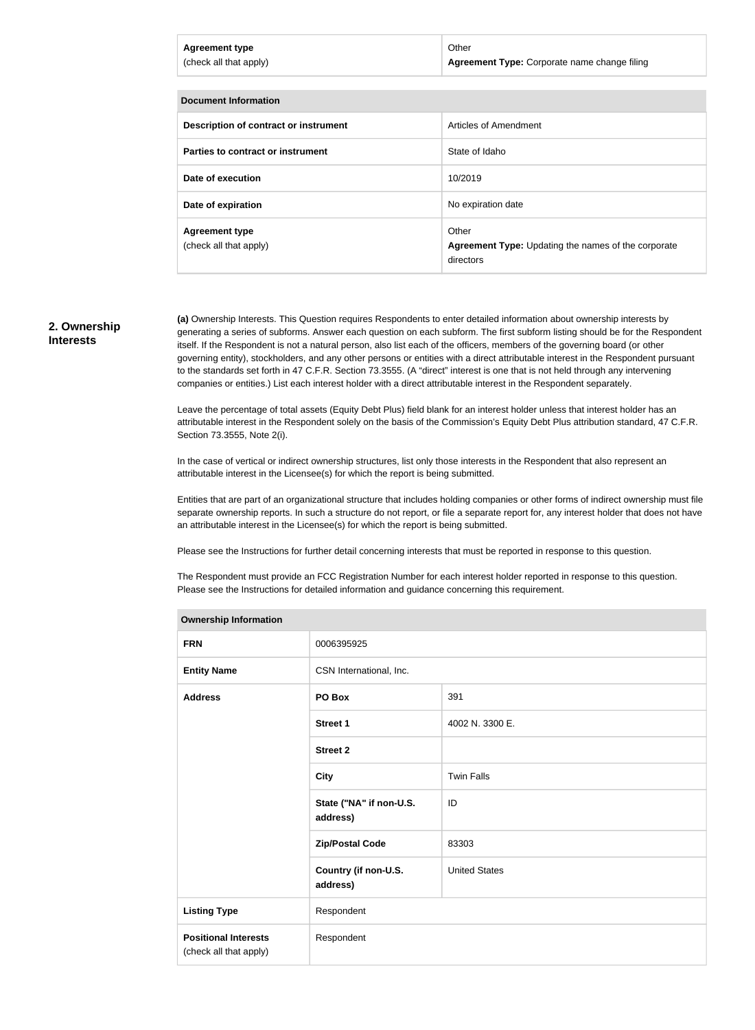| <b>Agreement type</b><br>(check all that apply) | Other<br>Agreement Type: Corporate name change filing |
|-------------------------------------------------|-------------------------------------------------------|
| Document Information                            |                                                       |
| Description of contract or instrument           | Articles of Amendment                                 |
| <b>Parties to contract or instrument</b>        | State of Idaho                                        |

**Date of execution** 10/2019

**Agreement type** (check all that apply)

**Date of expiration No expiration** date

### **2. Ownership Interests**

**(a)** Ownership Interests. This Question requires Respondents to enter detailed information about ownership interests by generating a series of subforms. Answer each question on each subform. The first subform listing should be for the Respondent itself. If the Respondent is not a natural person, also list each of the officers, members of the governing board (or other governing entity), stockholders, and any other persons or entities with a direct attributable interest in the Respondent pursuant to the standards set forth in 47 C.F.R. Section 73.3555. (A "direct" interest is one that is not held through any intervening companies or entities.) List each interest holder with a direct attributable interest in the Respondent separately.

Other

directors

**Agreement Type:** Updating the names of the corporate

Leave the percentage of total assets (Equity Debt Plus) field blank for an interest holder unless that interest holder has an attributable interest in the Respondent solely on the basis of the Commission's Equity Debt Plus attribution standard, 47 C.F.R. Section 73.3555, Note 2(i).

In the case of vertical or indirect ownership structures, list only those interests in the Respondent that also represent an attributable interest in the Licensee(s) for which the report is being submitted.

Entities that are part of an organizational structure that includes holding companies or other forms of indirect ownership must file separate ownership reports. In such a structure do not report, or file a separate report for, any interest holder that does not have an attributable interest in the Licensee(s) for which the report is being submitted.

Please see the Instructions for further detail concerning interests that must be reported in response to this question.

The Respondent must provide an FCC Registration Number for each interest holder reported in response to this question. Please see the Instructions for detailed information and guidance concerning this requirement.

| <b>Ownership Information</b>                          |                                     |                      |  |
|-------------------------------------------------------|-------------------------------------|----------------------|--|
| <b>FRN</b>                                            | 0006395925                          |                      |  |
| <b>Entity Name</b>                                    | CSN International, Inc.             |                      |  |
| <b>Address</b>                                        | PO Box                              | 391                  |  |
|                                                       | <b>Street 1</b>                     | 4002 N. 3300 E.      |  |
|                                                       | <b>Street 2</b>                     |                      |  |
|                                                       | <b>City</b>                         | <b>Twin Falls</b>    |  |
|                                                       | State ("NA" if non-U.S.<br>address) | ID                   |  |
|                                                       | <b>Zip/Postal Code</b>              | 83303                |  |
|                                                       | Country (if non-U.S.<br>address)    | <b>United States</b> |  |
| <b>Listing Type</b>                                   | Respondent                          |                      |  |
| <b>Positional Interests</b><br>(check all that apply) | Respondent                          |                      |  |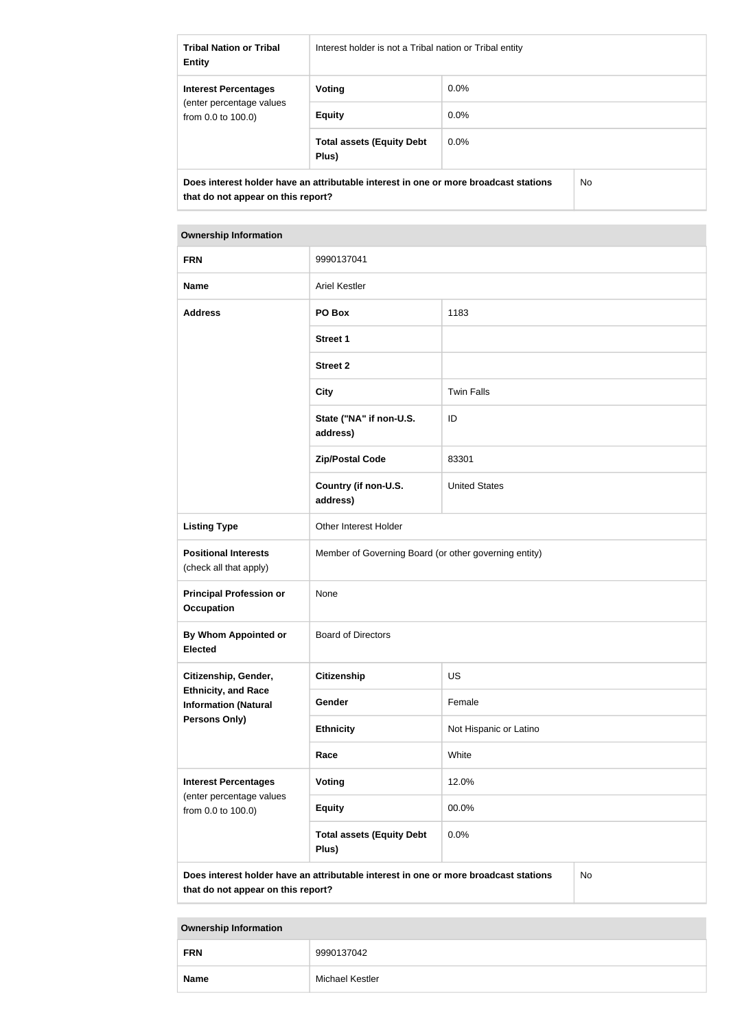| <b>Tribal Nation or Tribal</b><br><b>Entity</b>                                                                            | Interest holder is not a Tribal nation or Tribal entity |         |     |
|----------------------------------------------------------------------------------------------------------------------------|---------------------------------------------------------|---------|-----|
| <b>Interest Percentages</b>                                                                                                | Voting                                                  | $0.0\%$ |     |
| (enter percentage values)<br>from $0.0$ to $100.0$ )                                                                       | <b>Equity</b>                                           | $0.0\%$ |     |
|                                                                                                                            | <b>Total assets (Equity Debt</b><br>Plus)               | $0.0\%$ |     |
| Does interest holder have an attributable interest in one or more broadcast stations<br>that do not appear on this report? |                                                         |         | No. |

| <b>Ownership Information</b>                                                                                                     |                                                       |                        |  |  |
|----------------------------------------------------------------------------------------------------------------------------------|-------------------------------------------------------|------------------------|--|--|
| <b>FRN</b>                                                                                                                       | 9990137041                                            |                        |  |  |
| <b>Name</b>                                                                                                                      | <b>Ariel Kestler</b>                                  |                        |  |  |
| <b>Address</b>                                                                                                                   | PO Box                                                | 1183                   |  |  |
|                                                                                                                                  | <b>Street 1</b>                                       |                        |  |  |
|                                                                                                                                  | <b>Street 2</b>                                       |                        |  |  |
|                                                                                                                                  | <b>City</b>                                           | <b>Twin Falls</b>      |  |  |
|                                                                                                                                  | State ("NA" if non-U.S.<br>address)                   | ID                     |  |  |
|                                                                                                                                  | <b>Zip/Postal Code</b>                                | 83301                  |  |  |
|                                                                                                                                  | Country (if non-U.S.<br>address)                      | <b>United States</b>   |  |  |
| <b>Listing Type</b>                                                                                                              | Other Interest Holder                                 |                        |  |  |
| <b>Positional Interests</b><br>(check all that apply)                                                                            | Member of Governing Board (or other governing entity) |                        |  |  |
| <b>Principal Profession or</b><br><b>Occupation</b>                                                                              | None                                                  |                        |  |  |
| By Whom Appointed or<br><b>Elected</b>                                                                                           | <b>Board of Directors</b>                             |                        |  |  |
| Citizenship, Gender,                                                                                                             | <b>Citizenship</b>                                    | <b>US</b>              |  |  |
| <b>Ethnicity, and Race</b><br><b>Information (Natural</b>                                                                        | Gender                                                | Female                 |  |  |
| Persons Only)                                                                                                                    | <b>Ethnicity</b>                                      | Not Hispanic or Latino |  |  |
|                                                                                                                                  | Race                                                  | White                  |  |  |
| <b>Interest Percentages</b>                                                                                                      | Voting                                                | 12.0%                  |  |  |
| (enter percentage values<br>from 0.0 to 100.0)                                                                                   | <b>Equity</b>                                         | 00.0%                  |  |  |
|                                                                                                                                  | <b>Total assets (Equity Debt</b><br>Plus)             | 0.0%                   |  |  |
| Does interest holder have an attributable interest in one or more broadcast stations<br>No<br>that do not appear on this report? |                                                       |                        |  |  |

# **Ownership Information FRN** 9990137042 **Name** Michael Kestler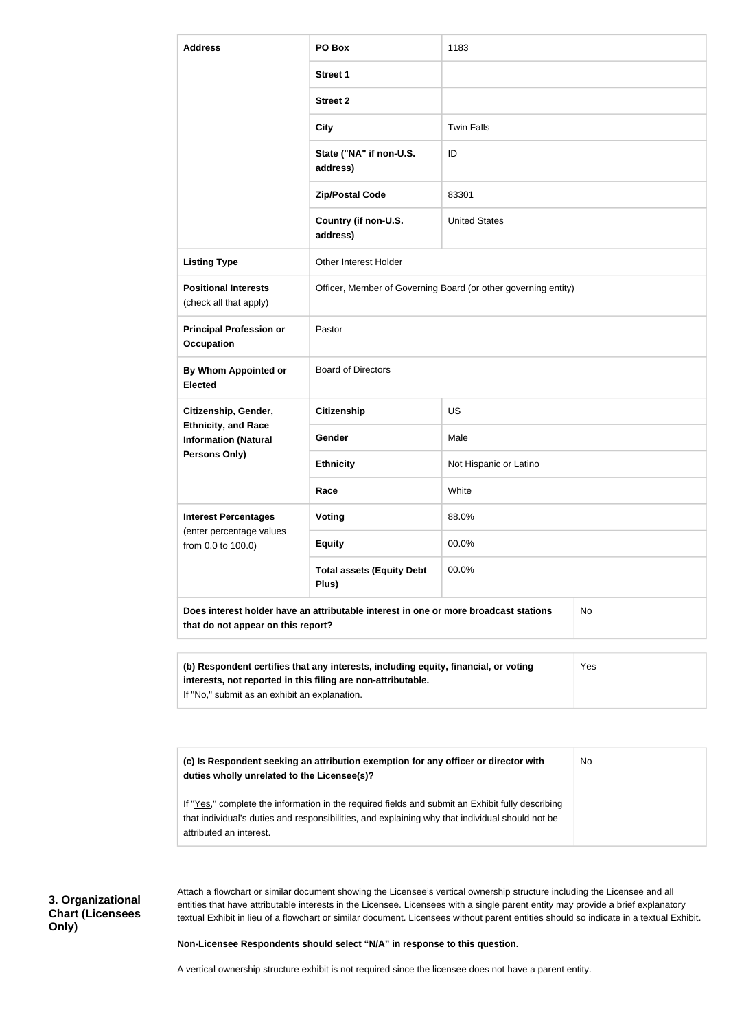| <b>Address</b>                                                                    | PO Box                                                                                                                                              | 1183                   |     |
|-----------------------------------------------------------------------------------|-----------------------------------------------------------------------------------------------------------------------------------------------------|------------------------|-----|
|                                                                                   | <b>Street 1</b>                                                                                                                                     |                        |     |
|                                                                                   | <b>Street 2</b>                                                                                                                                     |                        |     |
|                                                                                   | <b>City</b>                                                                                                                                         | <b>Twin Falls</b>      |     |
|                                                                                   | State ("NA" if non-U.S.<br>address)                                                                                                                 | ID                     |     |
|                                                                                   | <b>Zip/Postal Code</b>                                                                                                                              | 83301                  |     |
|                                                                                   | Country (if non-U.S.<br>address)                                                                                                                    | <b>United States</b>   |     |
| <b>Listing Type</b>                                                               | Other Interest Holder                                                                                                                               |                        |     |
| <b>Positional Interests</b><br>(check all that apply)                             | Officer, Member of Governing Board (or other governing entity)                                                                                      |                        |     |
| <b>Principal Profession or</b><br><b>Occupation</b>                               | Pastor                                                                                                                                              |                        |     |
| <b>By Whom Appointed or</b><br><b>Elected</b>                                     | <b>Board of Directors</b>                                                                                                                           |                        |     |
| Citizenship, Gender,                                                              | <b>Citizenship</b>                                                                                                                                  | US                     |     |
| <b>Ethnicity, and Race</b><br><b>Information (Natural</b><br><b>Persons Only)</b> | Gender                                                                                                                                              | Male                   |     |
|                                                                                   | <b>Ethnicity</b>                                                                                                                                    | Not Hispanic or Latino |     |
|                                                                                   | Race                                                                                                                                                | White                  |     |
| <b>Interest Percentages</b>                                                       | <b>Voting</b>                                                                                                                                       | 88.0%                  |     |
| (enter percentage values<br>from 0.0 to 100.0)                                    | <b>Equity</b>                                                                                                                                       | 00.0%                  |     |
|                                                                                   | <b>Total assets (Equity Debt</b><br>Plus)                                                                                                           | 00.0%                  |     |
| that do not appear on this report?                                                | Does interest holder have an attributable interest in one or more broadcast stations                                                                |                        | No  |
|                                                                                   | (b) Respondent certifies that any interests, including equity, financial, or voting<br>interests, not reported in this filing are non-attributable. |                        | Yes |

| (c) Is Respondent seeking an attribution exemption for any officer or director with<br>duties wholly unrelated to the Licensee(s)?                                                                                             | No |
|--------------------------------------------------------------------------------------------------------------------------------------------------------------------------------------------------------------------------------|----|
| If "Yes," complete the information in the required fields and submit an Exhibit fully describing<br>that individual's duties and responsibilities, and explaining why that individual should not be<br>attributed an interest. |    |

**3. Organizational Chart (Licensees Only)**

Attach a flowchart or similar document showing the Licensee's vertical ownership structure including the Licensee and all entities that have attributable interests in the Licensee. Licensees with a single parent entity may provide a brief explanatory textual Exhibit in lieu of a flowchart or similar document. Licensees without parent entities should so indicate in a textual Exhibit.

**Non-Licensee Respondents should select "N/A" in response to this question.**

A vertical ownership structure exhibit is not required since the licensee does not have a parent entity.